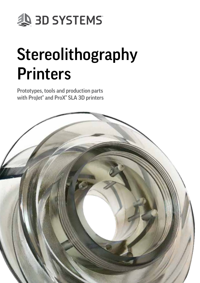

# Stereolithography **Printers**

Prototypes, tools and production parts with ProJet® and ProX® SLA 3D printers

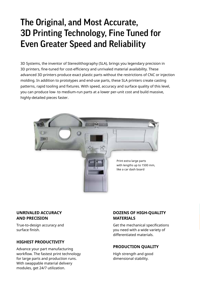### The Original, and Most Accurate, 3D Printing Technology, Fine Tuned for Even Greater Speed and Reliability

3D Systems, the inventor of Stereolithography (SLA), brings you legendary precision in 3D printers, fine-tuned for cost-efficiency and unrivaled material availability. These advanced 3D printers produce exact plastic parts without the restrictions of CNC or injection molding. In addition to prototypes and end-use parts, these SLA printers create casting patterns, rapid tooling and fixtures. With speed, accuracy and surface quality of this level, you can produce low- to medium-run parts at a lower per-unit cost and build massive, highly-detailed pieces faster.



#### **UNRIVALED ACCURACY AND PRECISION**

True-to-design accuracy and surface finish.

#### **HIGHEST PRODUCTIVITY**

Advance your part manufacturing workflow. The fastest print technology for large parts and production runs. With swappable material delivery modules, get 24/7 utilization.

#### **DOZENS OF HIGH-QUALITY MATERIALS**

Get the mechanical specifications you need with a wide variety of differentiated materials.

#### **PRODUCTION QUALITY**

High strength and good dimensional stability.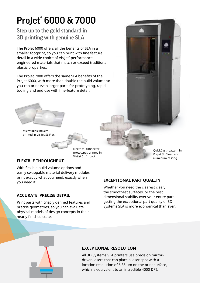# ProJet® 6000 & 7000

### Step up to the gold standard in 3D printing with genuine SLA

The ProJet 6000 offers all the benefits of SLA in a smaller footprint, so you can print with fine feature detail in a wide choice of Visilet<sup>®</sup> performanceengineered materials that match or exceed traditional plastic properties.

The ProJet 7000 offers the same SLA benefits of the ProJet 6000, with more than double the build volume so you can print even larger parts for prototyping, rapid tooling and end use with fine-feature detail.

> Electrical connector prototypes printed in VisiJet SL Impact



Microfluidic mixers printed in VisiJet SL Flex

#### **FLEXIBLE THROUGHPUT**

With flexible build volume options and easily swappable material delivery modules, print exactly what you need, exactly when you need it.

#### **ACCURATE, PRECISE DETAIL**

Print parts with crisply defined features and precise geometries, so you can evaluate physical models of design concepts in their nearly finished state.

#### **EXCEPTIONAL PART QUALITY**

Whether you need the clearest clear, the smoothest surfaces, or the best dimensional stability over your entire part, getting the exceptional part quality of 3D Systems SLA is more economical than ever.



#### **EXCEPTIONAL RESOLUTION**

All 3D Systems SLA printers use precision mirrordriven lasers that can place a laser spot with a location resolution of 6.35 μm on the print surface, which is equivalent to an incredible 4000 DPI.

QuickCast® pattern in VisiJet SL Clear, and aluminum casting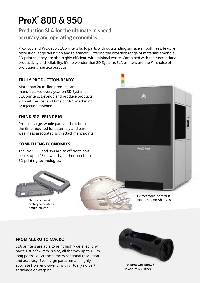### ProX® 800 & 950

Production SLA for the ultimate in speed, accuracy and operating economics

ProX 800 and ProX 950 SLA printers build parts with outstanding surface smoothness, feature resolution, edge definition and tolerances. Offering the broadest range of materials among all 3D printers, they are also highly efficient, with minimal waste. Combined with their exceptional productivity and reliability, it's no wonder that 3D Systems SLA printers are the #1 choice of professional service bureaus.

#### **TRULY PRODUCTION-READY**

More than 20 million products are manufactured every year on 3D Systems SLA printers. Develop and produce products without the cost and time of CNC machining or injection molding.

#### **THINK BIG, PRINT BIG**

Produce large, whole parts and cut both the time required for assembly and part weakness associated with attachment points.

#### **COMPELLING ECONOMICS**

The ProX 800 and 950 are so efficient, part cost is up to 25x lower than other precision 3D printing technologies.



Electronic housing prototype printed in Accura Xtreme



Helmet model printed in Accura Xtreme White 200

#### **FROM MICRO TO MACRO**

SLA printers are able to print highly detailed, tiny parts just a few mm in size, all the way up to 1.5 m long parts—all at the same exceptional resolution and accuracy. Even large parts remain highly accurate from end-to-end, with virtually no part shrinkage or warping.



Toy prototype printed in Accura ABS Black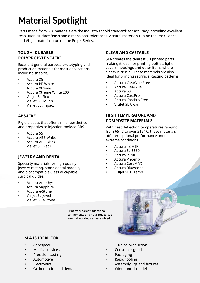## Material Spotlight

Parts made from SLA materials are the industry's "gold standard" for accuracy, providing excellent resolution, surface finish and dimensional tolerances. Accura® materials run on the ProX Series, and VisiJet materials run on the ProJet Series.

#### **TOUGH, DURABLE POLYPROPYLENE-LIKE**

Excellent general purpose prototyping and production materials for most applications, including snap fit.

- Accura 25
- Accura PP White
- Accura Xtreme
- Accura Xtreme White 200
- VisiJet SL Flex
- Visilet SL Tough
- VisiJet SL Impact

#### **ABS-LIKE**

Rigid plastics that offer similar aesthetics and properties to injection-molded ABS.

- Accura 55
- Accura ABS White
- Accura ABS Black
- VisiJet SL Black

#### **JEWELRY AND DENTAL**

Specialty materials for high-quality jewelry casting, stone dental models, and biocompatible Class VI capable surgical guides.

- Accura Amethyst
- Accura Sapphire
- Accura e-Stone
- VisiJet SL Jewel
- VisiJet SL e-Stone

#### **CLEAR AND CASTABLE**

SLA creates the clearest 3D printed parts, making it ideal for printing bottles, light covers, housings and other items where clarity is crucial. These materials are also ideal for printing sacrificial casting patterns.

- Accura ClearVue Free
- Accura ClearVue
- Accura 60
- Accura CastPro
- Accura CastPro Free
- VisiJet SL Clear

#### **HIGH TEMPERATURE AND COMPOSITE MATERIALS**

With heat deflection temperatures ranging from 65° C to over 215° C, these materials offer exceptional performance under extreme conditions.

- Accura 48 HTR
- Accura SL 5530
- Accura PEAK
- Accura Phoenix
- Accura CeraMAX
- Accura Bluestone
- VisiJet SL HiTemp



#### **SLA IS IDEAL FOR:**

- Aerospace
- Medical devices
- Precision casting
- **Automotive**
- **Flectronics**
- Orthodontics and dental
- Turbine production
- Consumer goods
- Packaging

Print transparent, functional components and housings to see internal workings as assembled

- Rapid tooling
- Assembly jigs and fixtures
- Wind tunnel models